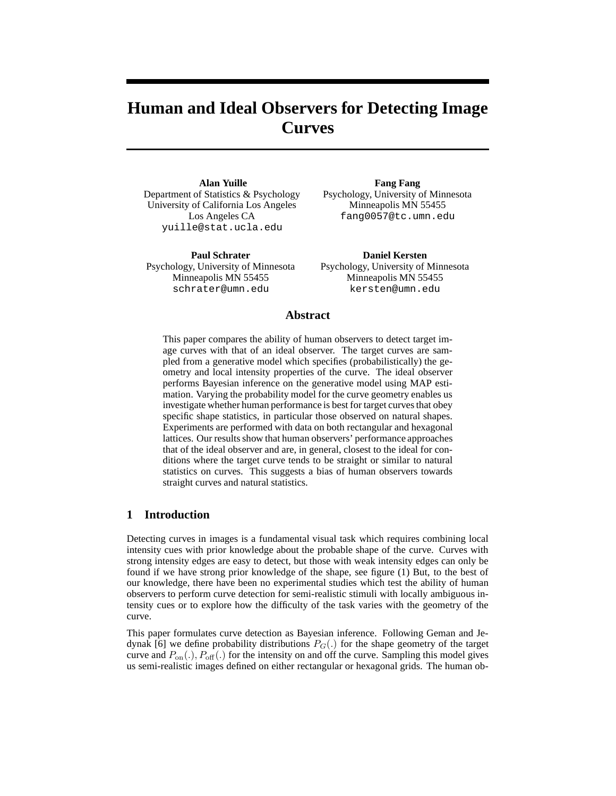# **Human and Ideal Observers for Detecting Image Curves**

**Alan Yuille** Department of Statistics & Psychology University of California Los Angeles Los Angeles CA yuille@stat.ucla.edu

**Paul Schrater** Psychology, University of Minnesota Minneapolis MN 55455 schrater@umn.edu

**Fang Fang** Psychology, University of Minnesota Minneapolis MN 55455 fang0057@tc.umn.edu

**Daniel Kersten** Psychology, University of Minnesota Minneapolis MN 55455 kersten@umn.edu

#### **Abstract**

This paper compares the ability of human observers to detect target image curves with that of an ideal observer. The target curves are sampled from a generative model which specifies (probabilistically) the geometry and local intensity properties of the curve. The ideal observer performs Bayesian inference on the generative model using MAP estimation. Varying the probability model for the curve geometry enables us investigate whether human performance is best for target curves that obey specific shape statistics, in particular those observed on natural shapes. Experiments are performed with data on both rectangular and hexagonal lattices. Our results show that human observers' performance approaches that of the ideal observer and are, in general, closest to the ideal for conditions where the target curve tends to be straight or similar to natural statistics on curves. This suggests a bias of human observers towards straight curves and natural statistics.

# **1 Introduction**

Detecting curves in images is a fundamental visual task which requires combining local intensity cues with prior knowledge about the probable shape of the curve. Curves with strong intensity edges are easy to detect, but those with weak intensity edges can only be found if we have strong prior knowledge of the shape, see figure (1) But, to the best of our knowledge, there have been no experimental studies which test the ability of human observers to perform curve detection for semi-realistic stimuli with locally ambiguous intensity cues or to explore how the difficulty of the task varies with the geometry of the curve.

This paper formulates curve detection as Bayesian inference. Following Geman and Jedynak [6] we define probability distributions  $P_G(.)$  for the shape geometry of the target curve and  $P_{on}(.)$ ,  $P_{off}(.)$  for the intensity on and off the curve. Sampling this model gives us semi-realistic images defined on either rectangular or hexagonal grids. The human ob-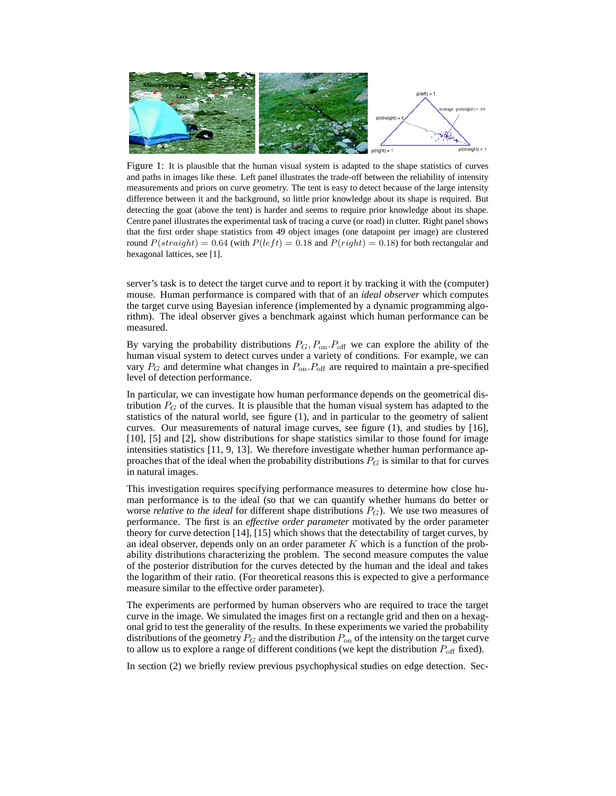

Figure 1: It is plausible that the human visual system is adapted to the shape statistics of curves and paths in images like these. Left panel illustrates the trade-off between the reliability of intensity measurements and priors on curve geometry. The tent is easy to detect because of the large intensity difference between it and the background, so little prior knowledge about its shape is required. But detecting the goat (above the tent) is harder and seems to require prior knowledge about its shape. Centre panel illustrates the experimental task of tracing a curve (or road) in clutter. Right panel shows that the first order shape statistics from 49 object images (one datapoint per image) are clustered round  $P(straight) = 0.64$  (with  $P(left) = 0.18$  and  $P(right) = 0.18$ ) for both rectangular and hexagonal lattices, see [1].

server's task is to detect the target curve and to report it by tracking it with the (computer) mouse. Human performance is compared with that of an *ideal observer* which computes the target curve using Bayesian inference (implemented by a dynamic programming algorithm). The ideal observer gives a benchmark against which human performance can be measured.

By varying the probability distributions  $P_G$ ,  $P_{on}$ .  $P_{off}$  we can explore the ability of the human visual system to detect curves under a variety of conditions. For example, we can vary  $P_G$  and determine what changes in  $P_{on}P_{off}$  are required to maintain a pre-specified level of detection performance.

In particular, we can investigate how human performance depends on the geometrical distribution  $P_G$  of the curves. It is plausible that the human visual system has adapted to the statistics of the natural world, see figure (1), and in particular to the geometry of salient curves. Our measurements of natural image curves, see figure (1), and studies by [16], [10], [5] and [2], show distributions for shape statistics similar to those found for image intensities statistics [11, 9, 13]. We therefore investigate whether human performance approaches that of the ideal when the probability distributions  $P_G$  is similar to that for curves in natural images.

This investigation requires specifying performance measures to determine how close human performance is to the ideal (so that we can quantify whether humans do better or worse *relative to the ideal* for different shape distributions  $P_G$ ). We use two measures of performance. The first is an *effective order parameter* motivated by the order parameter theory for curve detection [14], [15] which shows that the detectability of target curves, by an ideal observer, depends only on an order parameter K which is a function of the probability distributions characterizing the problem. The second measure computes the value of the posterior distribution for the curves detected by the human and the ideal and takes the logarithm of their ratio. (For theoretical reasons this is expected to give a performance measure similar to the effective order parameter).

The experiments are performed by human observers who are required to trace the target curve in the image. We simulated the images first on a rectangle grid and then on a hexagonal grid to test the generality of the results. In these experiments we varied the probability distributions of the geometry  $P_G$  and the distribution  $P_{on}$  of the intensity on the target curve to allow us to explore a range of different conditions (we kept the distribution  $P_{\text{off}}$  fixed).

In section (2) we briefly review previous psychophysical studies on edge detection. Sec-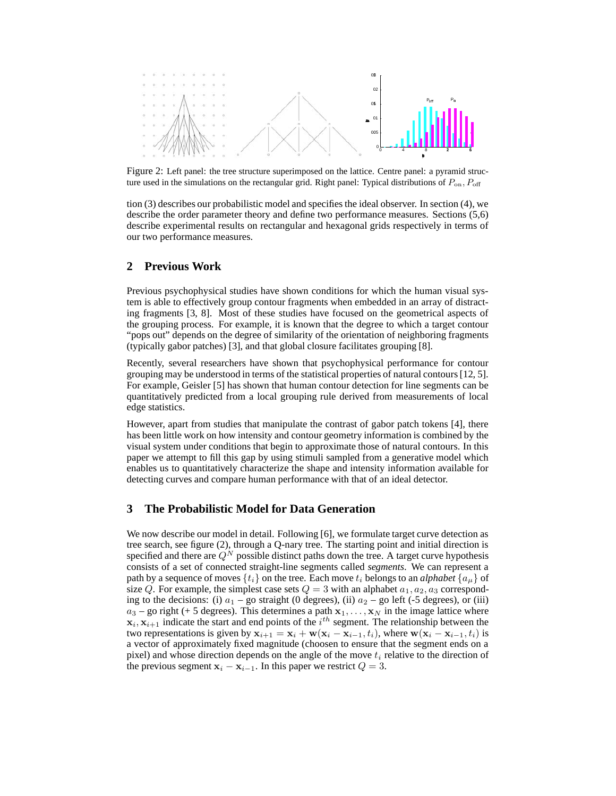

Figure 2: Left panel: the tree structure superimposed on the lattice. Centre panel: a pyramid structure used in the simulations on the rectangular grid. Right panel: Typical distributions of  $P_{\text{on}}$ ,  $P_{\text{off}}$ 

tion (3) describes our probabilistic model and specifies the ideal observer. In section (4), we describe the order parameter theory and define two performance measures. Sections (5,6) describe experimental results on rectangular and hexagonal grids respectively in terms of our two performance measures.

# **2 Previous Work**

Previous psychophysical studies have shown conditions for which the human visual system is able to effectively group contour fragments when embedded in an array of distracting fragments [3, 8]. Most of these studies have focused on the geometrical aspects of the grouping process. For example, it is known that the degree to which a target contour "pops out" depends on the degree of similarity of the orientation of neighboring fragments (typically gabor patches) [3], and that global closure facilitates grouping [8].

Recently, several researchers have shown that psychophysical performance for contour grouping may be understood in terms of the statistical properties of natural contours [12, 5]. For example, Geisler [5] has shown that human contour detection for line segments can be quantitatively predicted from a local grouping rule derived from measurements of local edge statistics.

However, apart from studies that manipulate the contrast of gabor patch tokens [4], there has been little work on how intensity and contour geometry information is combined by the visual system under conditions that begin to approximate those of natural contours. In this paper we attempt to fill this gap by using stimuli sampled from a generative model which enables us to quantitatively characterize the shape and intensity information available for detecting curves and compare human performance with that of an ideal detector.

## **3 The Probabilistic Model for Data Generation**

We now describe our model in detail. Following [6], we formulate target curve detection as tree search, see figure (2), through a Q-nary tree. The starting point and initial direction is specified and there are  $Q^N$  possible distinct paths down the tree. A target curve hypothesis consists of a set of connected straight-line segments called *segments*. We can represent a path by a sequence of moves  $\{t_i\}$  on the tree. Each move  $t_i$  belongs to an *alphabet*  $\{a_{\mu}\}$  of size Q. For example, the simplest case sets  $Q = 3$  with an alphabet  $a_1, a_2, a_3$  corresponding to the decisions: (i)  $a_1$  – go straight (0 degrees), (ii)  $a_2$  – go left (-5 degrees), or (iii)  $a_3$  – go right (+ 5 degrees). This determines a path  $x_1, \ldots, x_N$  in the image lattice where  $\mathbf{x}_i, \mathbf{x}_{i+1}$  indicate the start and end points of the  $i^{th}$  segment. The relationship between the two representations is given by  $x_{i+1} = x_i + w(x_i - x_{i-1}, t_i)$ , where  $w(x_i - x_{i-1}, t_i)$  is a vector of approximately fixed magnitude (choosen to ensure that the segment ends on a pixel) and whose direction depends on the angle of the move  $t_i$  relative to the direction of the previous segment  $\mathbf{x}_i - \mathbf{x}_{i-1}$ . In this paper we restrict  $Q = 3$ .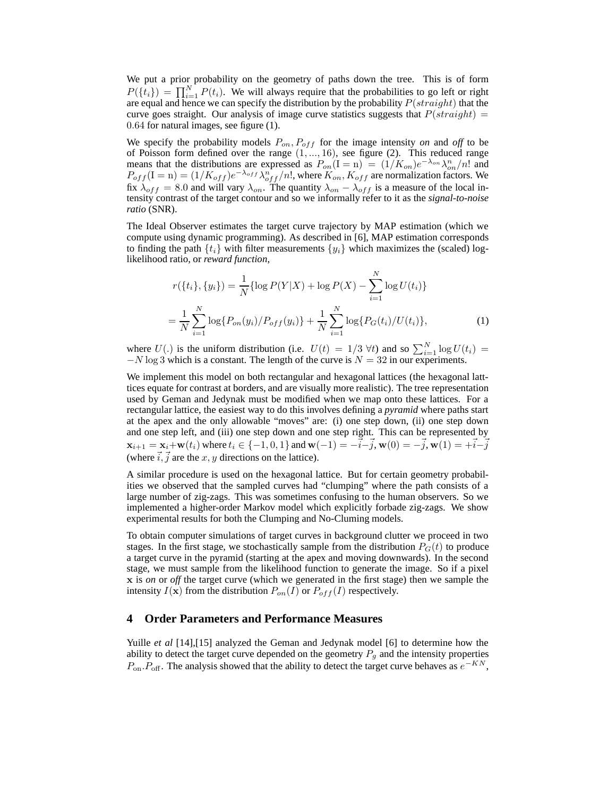We put a prior probability on the geometry of paths down the tree. This is of form  $P({t<sub>i</sub>}) = \prod_{i=1}^{N} P(t_i)$ . We will always require that the probabilities to go left or right are equal and hence we can specify the distribution by the probability  $P(straight)$  that the curve goes straight. Our analysis of image curve statistics suggests that  $P(straight)$  = 0.64 for natural images, see figure (1).

We specify the probability models  $P_{on}$ ,  $P_{off}$  for the image intensity *on* and *off* to be of Poisson form defined over the range  $(1, ..., 16)$ , see figure  $(2)$ . This reduced range means that the distributions are expressed as  $P_{on}(I = n) = (1/K_{on})e^{-\lambda_{on}}\lambda_{on}^n/n!$  and  $P_{off}$  (I = n) = (1/ $K_{off}$ ) $e^{-\lambda_{off}}\lambda_{off}^{n}/n!$ , where  $K_{on}$ ,  $K_{off}$  are normalization factors. We fix  $\lambda_{off} = 8.0$  and will vary  $\lambda_{on}$ . The quantity  $\lambda_{on} - \lambda_{off}$  is a measure of the local intensity contrast of the target contour and so we informally refer to it as the *signal-to-noise ratio* (SNR).

The Ideal Observer estimates the target curve trajectory by MAP estimation (which we compute using dynamic programming). As described in [6], MAP estimation corresponds to finding the path  $\{t_i\}$  with filter measurements  $\{y_i\}$  which maximizes the (scaled) loglikelihood ratio, or *reward function*,

$$
r({ti}, {yi}) = \frac{1}{N} \{ \log P(Y|X) + \log P(X) - \sum_{i=1}^{N} \log U(t_i) \}
$$

$$
= \frac{1}{N} \sum_{i=1}^{N} \log \{ P_{on}(y_i) / P_{off}(y_i) \} + \frac{1}{N} \sum_{i=1}^{N} \log \{ P_G(t_i) / U(t_i) \},
$$
(1)

where  $U(.)$  is the uniform distribution (i.e.  $U(t) = 1/3 \forall t$ ) and so  $\sum_{i=1}^{N} \log U(t_i)$  $-N \log 3$  which is a constant. The length of the curve is  $N = 32$  in our experiments.

We implement this model on both rectangular and hexagonal lattices (the hexagonal latttices equate for contrast at borders, and are visually more realistic). The tree representation used by Geman and Jedynak must be modified when we map onto these lattices. For a rectangular lattice, the easiest way to do this involves defining a *pyramid* where paths start at the apex and the only allowable "moves" are: (i) one step down, (ii) one step down and one step left, and (iii) one step down and one step right. This can be represented by  $x_{i+1} = x_i + w(t_i)$  where  $t_i \in \{-1, 0, 1\}$  and  $w(-1) = -\vec{i} - \vec{j}$ ,  $w(0) = -\vec{j}$ ,  $w(1) = +\vec{i} - \vec{j}$ (where  $\vec{i}, \vec{j}$  are the x, y directions on the lattice).

A similar procedure is used on the hexagonal lattice. But for certain geometry probabilities we observed that the sampled curves had "clumping" where the path consists of a large number of zig-zags. This was sometimes confusing to the human observers. So we implemented a higher-order Markov model which explicitly forbade zig-zags. We show experimental results for both the Clumping and No-Cluming models.

To obtain computer simulations of target curves in background clutter we proceed in two stages. In the first stage, we stochastically sample from the distribution  $P_G(t)$  to produce a target curve in the pyramid (starting at the apex and moving downwards). In the second stage, we must sample from the likelihood function to generate the image. So if a pixel x is *on* or *off* the target curve (which we generated in the first stage) then we sample the intensity  $I(\mathbf{x})$  from the distribution  $P_{on}(I)$  or  $P_{off}(I)$  respectively.

# **4 Order Parameters and Performance Measures**

Yuille *et al* [14], [15] analyzed the Geman and Jedynak model [6] to determine how the ability to detect the target curve depended on the geometry  $P_g$  and the intensity properties  $P_{\text{on}} P_{\text{off}}$ . The analysis showed that the ability to detect the target curve behaves as  $e^{-KN}$ ,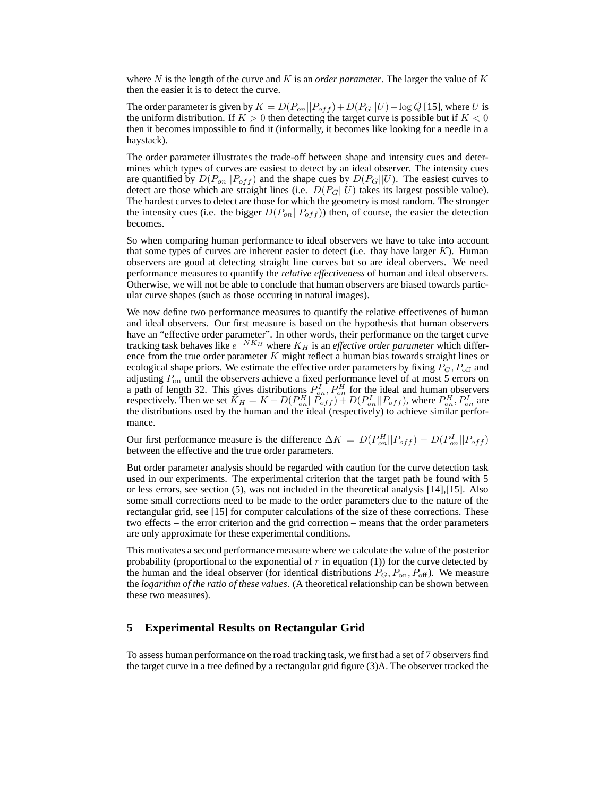where N is the length of the curve and K is an *order parameter*. The larger the value of K then the easier it is to detect the curve.

The order parameter is given by  $K = D(P_{on}||P_{off}) + D(P_G||U) - \log Q$  [15], where U is the uniform distribution. If  $K > 0$  then detecting the target curve is possible but if  $K < 0$ then it becomes impossible to find it (informally, it becomes like looking for a needle in a haystack).

The order parameter illustrates the trade-off between shape and intensity cues and determines which types of curves are easiest to detect by an ideal observer. The intensity cues are quantified by  $D(P_{on}||P_{off})$  and the shape cues by  $D(P_G||U)$ . The easiest curves to detect are those which are straight lines (i.e.  $D(P_G||U)$  takes its largest possible value). The hardest curves to detect are those for which the geometry is most random. The stronger the intensity cues (i.e. the bigger  $D(P_{on}||P_{off})$ ) then, of course, the easier the detection becomes.

So when comparing human performance to ideal observers we have to take into account that some types of curves are inherent easier to detect (i.e. thay have larger  $K$ ). Human observers are good at detecting straight line curves but so are ideal obervers. We need performance measures to quantify the *relative effectiveness* of human and ideal observers. Otherwise, we will not be able to conclude that human observers are biased towards particular curve shapes (such as those occuring in natural images).

We now define two performance measures to quantify the relative effectivenes of human and ideal observers. Our first measure is based on the hypothesis that human observers have an "effective order parameter". In other words, their performance on the target curve tracking task behaves like  $e^{-N K_H}$  where  $K_H$  is an *effective order parameter* which difference from the true order parameter  $K$  might reflect a human bias towards straight lines or ecological shape priors. We estimate the effective order parameters by fixing  $P_G$ ,  $P_{\text{off}}$  and adjusting  $P_{\text{on}}$  until the observers achieve a fixed performance level of at most 5 errors on a path of length 32. This gives distributions  $P_{on}^{I}, P_{on}^{H}$  for the ideal and human observers respectively. Then we set  $\bar{K}_H = K - D(P_{on}^H || \tilde{P}_{off}) + D(P_{on}^I || P_{off})$ , where  $P_{on}^H$ ,  $P_{on}^I$  are the distributions used by the human and the ideal (respectively) to achieve similar performance.

Our first performance measure is the difference  $\Delta K = D(P_{on}^H||P_{off}) - D(P_{on}^I||P_{off})$ between the effective and the true order parameters.

But order parameter analysis should be regarded with caution for the curve detection task used in our experiments. The experimental criterion that the target path be found with 5 or less errors, see section (5), was not included in the theoretical analysis [14],[15]. Also some small corrections need to be made to the order parameters due to the nature of the rectangular grid, see [15] for computer calculations of the size of these corrections. These two effects – the error criterion and the grid correction – means that the order parameters are only approximate for these experimental conditions.

This motivates a second performance measure where we calculate the value of the posterior probability (proportional to the exponential of  $r$  in equation (1)) for the curve detected by the human and the ideal observer (for identical distributions  $P_G, P_{on}, P_{off}$ ). We measure the *logarithm of the ratio of these values*. (A theoretical relationship can be shown between these two measures).

## **5 Experimental Results on Rectangular Grid**

To assess human performance on the road tracking task, we first had a set of 7 observers find the target curve in a tree defined by a rectangular grid figure (3)A. The observer tracked the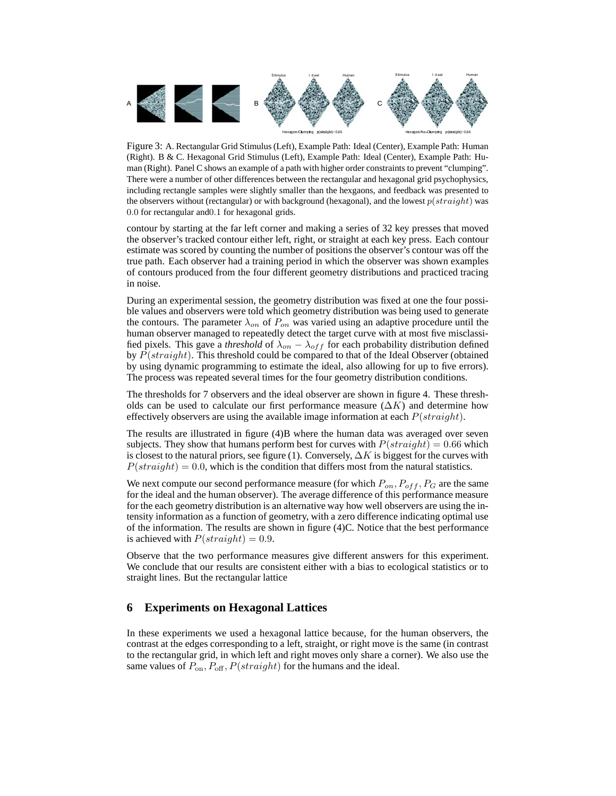

Figure 3: A. Rectangular Grid Stimulus (Left), Example Path: Ideal (Center), Example Path: Human (Right). B & C. Hexagonal Grid Stimulus (Left), Example Path: Ideal (Center), Example Path: Human (Right). Panel C shows an example of a path with higher order constraints to prevent "clumping". There were a number of other differences between the rectangular and hexagonal grid psychophysics, including rectangle samples were slightly smaller than the hexgaons, and feedback was presented to the observers without (rectangular) or with background (hexagonal), and the lowest  $p(straiqht)$  was 0.0 for rectangular and0.1 for hexagonal grids.

contour by starting at the far left corner and making a series of 32 key presses that moved the observer's tracked contour either left, right, or straight at each key press. Each contour estimate was scored by counting the number of positions the observer's contour was off the true path. Each observer had a training period in which the observer was shown examples of contours produced from the four different geometry distributions and practiced tracing in noise.

During an experimental session, the geometry distribution was fixed at one the four possible values and observers were told which geometry distribution was being used to generate the contours. The parameter  $\lambda_{on}$  of  $P_{on}$  was varied using an adaptive procedure until the human observer managed to repeatedly detect the target curve with at most five misclassified pixels. This gave a *threshold* of  $\lambda_{on} - \lambda_{off}$  for each probability distribution defined by  $P(straight)$ . This threshold could be compared to that of the Ideal Observer (obtained by using dynamic programming to estimate the ideal, also allowing for up to five errors). The process was repeated several times for the four geometry distribution conditions.

The thresholds for 7 observers and the ideal observer are shown in figure 4. These thresholds can be used to calculate our first performance measure  $(\Delta K)$  and determine how effectively observers are using the available image information at each  $P(straiqht)$ .

The results are illustrated in figure (4)B where the human data was averaged over seven subjects. They show that humans perform best for curves with  $P(straight) = 0.66$  which is closest to the natural priors, see figure (1). Conversely,  $\Delta K$  is biggest for the curves with  $P(straight) = 0.0$ , which is the condition that differs most from the natural statistics.

We next compute our second performance measure (for which  $P_{on}$ ,  $P_{off}$ ,  $P_G$  are the same for the ideal and the human observer). The average difference of this performance measure for the each geometry distribution is an alternative way how well observers are using the intensity information as a function of geometry, with a zero difference indicating optimal use of the information. The results are shown in figure (4)C. Notice that the best performance is achieved with  $P(straight) = 0.9$ .

Observe that the two performance measures give different answers for this experiment. We conclude that our results are consistent either with a bias to ecological statistics or to straight lines. But the rectangular lattice

## **6 Experiments on Hexagonal Lattices**

In these experiments we used a hexagonal lattice because, for the human observers, the contrast at the edges corresponding to a left, straight, or right move is the same (in contrast to the rectangular grid, in which left and right moves only share a corner). We also use the same values of  $P_{\text{on}}$ ,  $P_{\text{off}}$ ,  $P(\text{straight})$  for the humans and the ideal.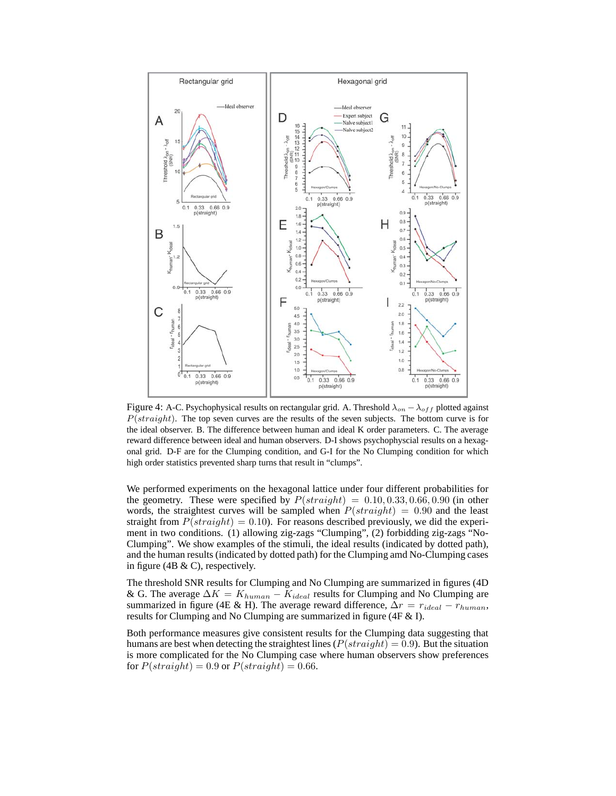

Figure 4: A-C. Psychophysical results on rectangular grid. A. Threshold  $\lambda_{on} - \lambda_{off}$  plotted against  $P(straight)$ . The top seven curves are the results of the seven subjects. The bottom curve is for the ideal observer. B. The difference between human and ideal K order parameters. C. The average reward difference between ideal and human observers. D-I shows psychophyscial results on a hexagonal grid. D-F are for the Clumping condition, and G-I for the No Clumping condition for which high order statistics prevented sharp turns that result in "clumps".

We performed experiments on the hexagonal lattice under four different probabilities for the geometry. These were specified by  $P(straight) = 0.10, 0.33, 0.66, 0.90$  (in other words, the straightest curves will be sampled when  $P(straight) = 0.90$  and the least straight from  $P(straight) = 0.10$ . For reasons described previously, we did the experiment in two conditions. (1) allowing zig-zags "Clumping", (2) forbidding zig-zags "No-Clumping". We show examples of the stimuli, the ideal results (indicated by dotted path), and the human results (indicated by dotted path) for the Clumping amd No-Clumping cases in figure (4B  $\&$  C), respectively.

The threshold SNR results for Clumping and No Clumping are summarized in figures (4D & G. The average  $\Delta K = K_{human} - K_{ideal}$  results for Clumping and No Clumping are summarized in figure (4E & H). The average reward difference,  $\Delta r = r_{ideal} - r_{human}$ , results for Clumping and No Clumping are summarized in figure (4F & I).

Both performance measures give consistent results for the Clumping data suggesting that humans are best when detecting the straightest lines ( $P(straight) = 0.9$ ). But the situation is more complicated for the No Clumping case where human observers show preferences for  $P(straight) = 0.9$  or  $P(straight) = 0.66$ .